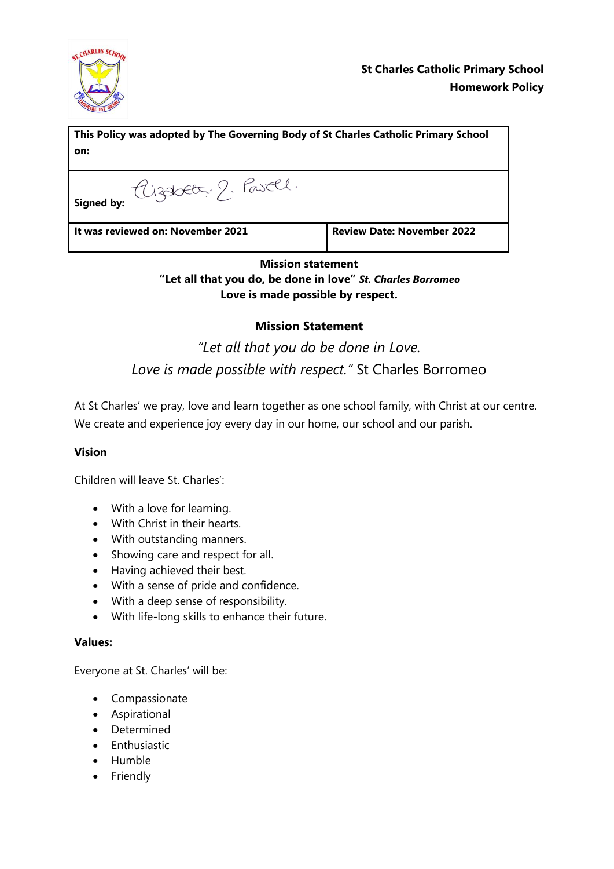

| This Policy was adopted by The Governing Body of St Charles Catholic Primary School<br>on: |                                   |
|--------------------------------------------------------------------------------------------|-----------------------------------|
| signed by: Cizabett, 2. Pasell.                                                            |                                   |
| It was reviewed on: November 2021                                                          | <b>Review Date: November 2022</b> |

## **Mission statement**

**"Let all that you do, be done in love"** *St. Charles Borromeo* **Love is made possible by respect.**

# **Mission Statement**

# *"Let all that you do be done in Love. Love is made possible with respect."* St Charles Borromeo

At St Charles' we pray, love and learn together as one school family, with Christ at our centre. We create and experience joy every day in our home, our school and our parish.

## **Vision**

Children will leave St. Charles':

- With a love for learning.
- With Christ in their hearts.
- With outstanding manners.
- Showing care and respect for all.
- Having achieved their best.
- With a sense of pride and confidence.
- With a deep sense of responsibility.
- With life-long skills to enhance their future.

### **Values:**

Everyone at St. Charles' will be:

- Compassionate
- Aspirational
- Determined
- $\bullet$  Enthusiastic
- Humble
- Friendly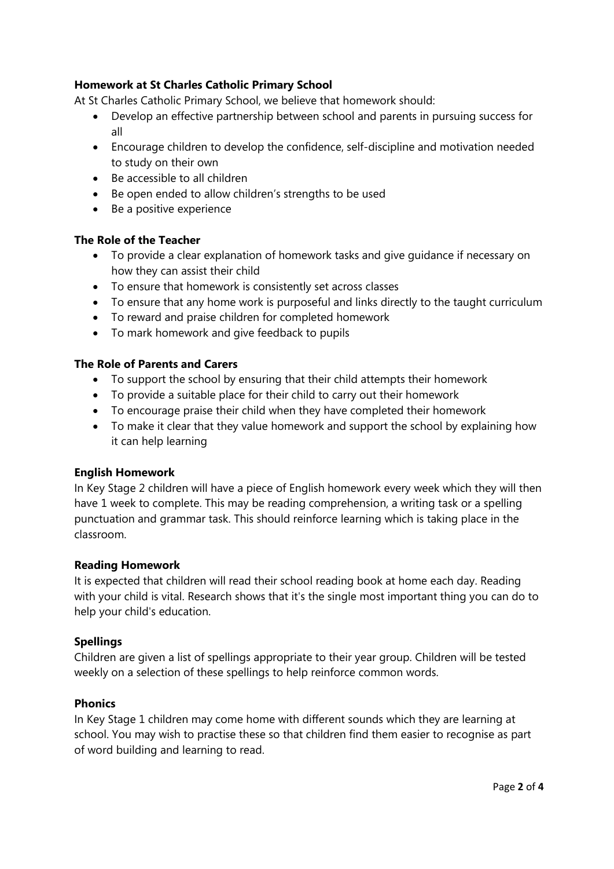## **Homework at St Charles Catholic Primary School**

At St Charles Catholic Primary School, we believe that homework should:

- Develop an effective partnership between school and parents in pursuing success for all
- Encourage children to develop the confidence, self-discipline and motivation needed to study on their own
- Be accessible to all children
- Be open ended to allow children's strengths to be used
- Be a positive experience

### **The Role of the Teacher**

- To provide a clear explanation of homework tasks and give guidance if necessary on how they can assist their child
- To ensure that homework is consistently set across classes
- To ensure that any home work is purposeful and links directly to the taught curriculum
- To reward and praise children for completed homework
- To mark homework and give feedback to pupils

### **The Role of Parents and Carers**

- To support the school by ensuring that their child attempts their homework
- To provide a suitable place for their child to carry out their homework
- To encourage praise their child when they have completed their homework
- To make it clear that they value homework and support the school by explaining how it can help learning

## **English Homework**

In Key Stage 2 children will have a piece of English homework every week which they will then have 1 week to complete. This may be reading comprehension, a writing task or a spelling punctuation and grammar task. This should reinforce learning which is taking place in the classroom.

#### **Reading Homework**

It is expected that children will read their school reading book at home each day. Reading with your child is vital. Research shows that it's the single most important thing you can do to help your child's education.

## **Spellings**

Children are given a list of spellings appropriate to their year group. Children will be tested weekly on a selection of these spellings to help reinforce common words.

## **Phonics**

In Key Stage 1 children may come home with different sounds which they are learning at school. You may wish to practise these so that children find them easier to recognise as part of word building and learning to read.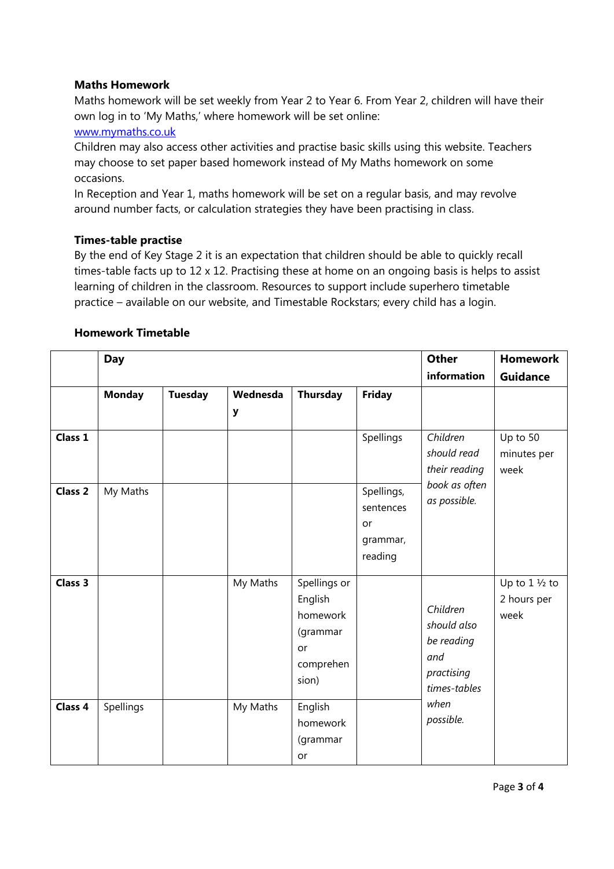### **Maths Homework**

Maths homework will be set weekly from Year 2 to Year 6. From Year 2, children will have their own log in to 'My Maths,' where homework will be set online:

### [www.mymaths.co.uk](http://www.mymaths.co.uk/)

Children may also access other activities and practise basic skills using this website. Teachers may choose to set paper based homework instead of My Maths homework on some occasions.

In Reception and Year 1, maths homework will be set on a regular basis, and may revolve around number facts, or calculation strategies they have been practising in class.

### **Times-table practise**

By the end of Key Stage 2 it is an expectation that children should be able to quickly recall times-table facts up to 12 x 12. Practising these at home on an ongoing basis is helps to assist learning of children in the classroom. Resources to support include superhero timetable practice – available on our website, and Timestable Rockstars; every child has a login.

|                    | <b>Day</b>    |                | <b>Other</b><br>information | <b>Homework</b><br><b>Guidance</b>                                          |                                                      |                                                                                                 |                                                 |
|--------------------|---------------|----------------|-----------------------------|-----------------------------------------------------------------------------|------------------------------------------------------|-------------------------------------------------------------------------------------------------|-------------------------------------------------|
|                    | <b>Monday</b> | <b>Tuesday</b> | Wednesda<br>y               | Thursday                                                                    | <b>Friday</b>                                        |                                                                                                 |                                                 |
| Class 1            |               |                |                             |                                                                             | Spellings                                            | Children<br>should read<br>their reading<br>book as often<br>as possible.                       | Up to 50<br>minutes per<br>week                 |
| Class <sub>2</sub> | My Maths      |                |                             |                                                                             | Spellings,<br>sentences<br>or<br>grammar,<br>reading |                                                                                                 |                                                 |
| Class 3            |               |                | My Maths                    | Spellings or<br>English<br>homework<br>(grammar<br>or<br>comprehen<br>sion) |                                                      | Children<br>should also<br>be reading<br>and<br>practising<br>times-tables<br>when<br>possible. | Up to $1 \frac{1}{2}$ to<br>2 hours per<br>week |
| Class 4            | Spellings     |                | My Maths                    | English<br>homework<br>(grammar<br>or                                       |                                                      |                                                                                                 |                                                 |

#### **Homework Timetable**